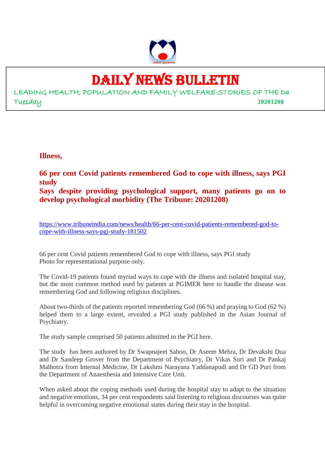

# DAILY NEWS BULLETIN

LEADING HEALTH, POPULATION AND FAMILY WELFARE STORIES OF THE Da Tuesday **20201208**

**Illness,**

**66 per cent Covid patients remembered God to cope with illness, says PGI study Says despite providing psychological support, many patients go on to**

**develop psychological morbidity (The Tribune: 20201208)**

https://www.tribuneindia.com/news/health/66-per-cent-covid-patients-remembered-god-tocope-with-illness-says-pgi-study-181502

66 per cent Covid patients remembered God to cope with illness, says PGI study Photo for representational purpose only.

The Covid-19 patients found myriad ways to cope with the illness and isolated hospital stay, but the most common method used by patients at PGIMER here to handle the disease was remembering God and following religious disciplines.

About two-thirds of the patients reported remembering God (66 %) and praying to God (62 %) helped them to a large extent, revealed a PGI study published in the Asian Journal of Psychiatry.

The study sample comprised 50 patients admitted to the PGI here.

The study has been authored by Dr Swapnajeet Sahoo, Dr Aseem Mehra, Dr Devakshi Dua and Dr Sandeep Grover from the Department of Psychiatry, Dr Vikas Suri and Dr Pankaj Malhotra from Internal Medicine, Dr Lakshmi Narayana Yaddanapudi and Dr GD Puri from the Department of Anaesthesia and Intensive Care Unit.

When asked about the coping methods used during the hospital stay to adapt to the situation and negative emotions, 34 per cent respondents said listening to religious discourses was quite helpful in overcoming negative emotional states during their stay in the hospital.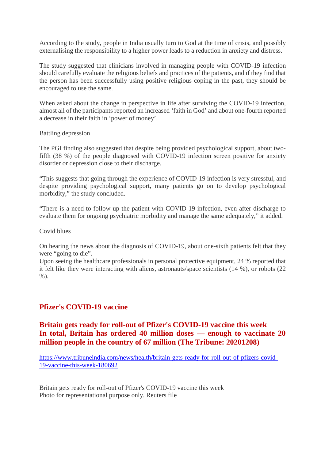According to the study, people in India usually turn to God at the time of crisis, and possibly externalising the responsibility to a higher power leads to a reduction in anxiety and distress.

The study suggested that clinicians involved in managing people with COVID-19 infection should carefully evaluate the religious beliefs and practices of the patients, and if they find that the person has been successfully using positive religious coping in the past, they should be encouraged to use the same.

When asked about the change in perspective in life after surviving the COVID-19 infection, almost all of the participants reported an increased 'faith in God' and about one-fourth reported a decrease in their faith in 'power of money'.

Battling depression

The PGI finding also suggested that despite being provided psychological support, about twofifth (38 %) of the people diagnosed with COVID-19 infection screen positive for anxiety disorder or depression close to their discharge.

"This suggests that going through the experience of COVID-19 infection is very stressful, and despite providing psychological support, many patients go on to develop psychological morbidity," the study concluded.

"There is a need to follow up the patient with COVID-19 infection, even after discharge to evaluate them for ongoing psychiatric morbidity and manage the same adequately," it added.

Covid blues

On hearing the news about the diagnosis of COVID-19, about one-sixth patients felt that they were "going to die".

Upon seeing the healthcare professionals in personal protective equipment, 24 % reported that it felt like they were interacting with aliens, astronauts/space scientists (14 %), or robots (22  $%$ ).

## **Pfizer's COVID-19 vaccine**

## **Britain gets ready for roll-out of Pfizer's COVID-19 vaccine this week In total, Britain has ordered 40 million doses — enough to vaccinate 20 million people in the country of 67 million (The Tribune: 20201208)**

https://www.tribuneindia.com/news/health/britain-gets-ready-for-roll-out-of-pfizers-covid-19-vaccine-this-week-180692

Britain gets ready for roll-out of Pfizer's COVID-19 vaccine this week Photo for representational purpose only. Reuters file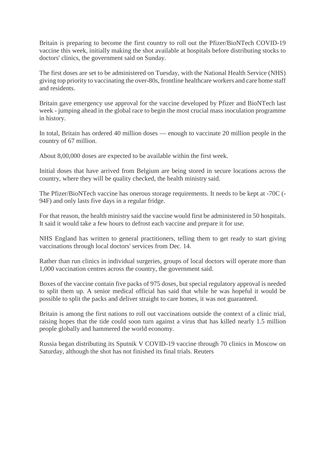Britain is preparing to become the first country to roll out the Pfizer/BioNTech COVID-19 vaccine this week, initially making the shot available at hospitals before distributing stocks to doctors' clinics, the government said on Sunday.

The first doses are set to be administered on Tuesday, with the National Health Service (NHS) giving top priority to vaccinating the over-80s, frontline healthcare workers and care home staff and residents.

Britain gave emergency use approval for the vaccine developed by Pfizer and BioNTech last week - jumping ahead in the global race to begin the most crucial mass inoculation programme in history.

In total, Britain has ordered 40 million doses — enough to vaccinate 20 million people in the country of 67 million.

About 8,00,000 doses are expected to be available within the first week.

Initial doses that have arrived from Belgium are being stored in secure locations across the country, where they will be quality checked, the health ministry said.

The Pfizer/BioNTech vaccine has onerous storage requirements. It needs to be kept at -70C (- 94F) and only lasts five days in a regular fridge.

For that reason, the health ministry said the vaccine would first be administered in 50 hospitals. It said it would take a few hours to defrost each vaccine and prepare it for use.

NHS England has written to general practitioners, telling them to get ready to start giving vaccinations through local doctors' services from Dec. 14.

Rather than run clinics in individual surgeries, groups of local doctors will operate more than 1,000 vaccination centres across the country, the government said.

Boxes of the vaccine contain five packs of 975 doses, but special regulatory approval is needed to split them up. A senior medical official has said that while he was hopeful it would be possible to split the packs and deliver straight to care homes, it was not guaranteed.

Britain is among the first nations to roll out vaccinations outside the context of a clinic trial, raising hopes that the tide could soon turn against a virus that has killed nearly 1.5 million people globally and hammered the world economy.

Russia began distributing its Sputnik V COVID-19 vaccine through 70 clinics in Moscow on Saturday, although the shot has not finished its final trials. Reuters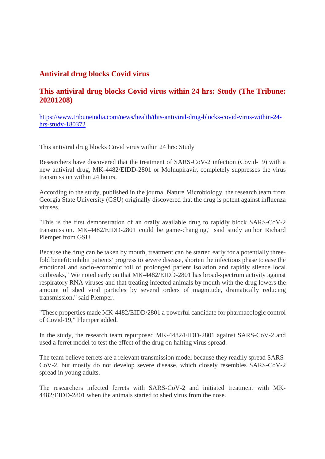## **Antiviral drug blocks Covid virus**

## **This antiviral drug blocks Covid virus within 24 hrs: Study (The Tribune: 20201208)**

https://www.tribuneindia.com/news/health/this-antiviral-drug-blocks-covid-virus-within-24 hrs-study-180372

This antiviral drug blocks Covid virus within 24 hrs: Study

Researchers have discovered that the treatment of SARS-CoV-2 infection (Covid-19) with a new antiviral drug, MK-4482/EIDD-2801 or Molnupiravir, completely suppresses the virus transmission within 24 hours.

According to the study, published in the journal Nature Microbiology, the research team from Georgia State University (GSU) originally discovered that the drug is potent against influenza viruses.

"This is the first demonstration of an orally available drug to rapidly block SARS-CoV-2 transmission. MK-4482/EIDD-2801 could be game-changing," said study author Richard Plemper from GSU.

Because the drug can be taken by mouth, treatment can be started early for a potentially threefold benefit: inhibit patients' progress to severe disease, shorten the infectious phase to ease the emotional and socio-economic toll of prolonged patient isolation and rapidly silence local outbreaks, "We noted early on that MK-4482/EIDD-2801 has broad-spectrum activity against respiratory RNA viruses and that treating infected animals by mouth with the drug lowers the amount of shed viral particles by several orders of magnitude, dramatically reducing transmission," said Plemper.

"These properties made MK-4482/EIDD/2801 a powerful candidate for pharmacologic control of Covid-19," Plemper added.

In the study, the research team repurposed MK-4482/EIDD-2801 against SARS-CoV-2 and used a ferret model to test the effect of the drug on halting virus spread.

The team believe ferrets are a relevant transmission model because they readily spread SARS-CoV-2, but mostly do not develop severe disease, which closely resembles SARS-CoV-2 spread in young adults.

The researchers infected ferrets with SARS-CoV-2 and initiated treatment with MK-4482/EIDD-2801 when the animals started to shed virus from the nose.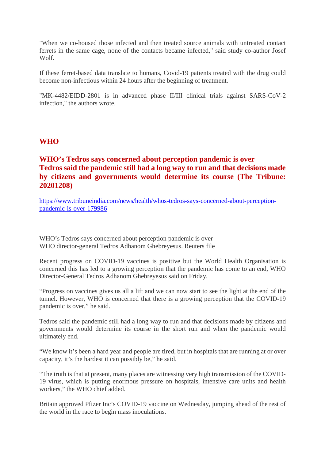"When we co-housed those infected and then treated source animals with untreated contact ferrets in the same cage, none of the contacts became infected," said study co-author Josef Wolf.

If these ferret-based data translate to humans, Covid-19 patients treated with the drug could become non-infectious within 24 hours after the beginning of treatment.

"MK-4482/EIDD-2801 is in advanced phase II/III clinical trials against SARS-CoV-2 infection," the authors wrote.

#### **WHO**

## **WHO's Tedros says concerned about perception pandemic is over Tedros said the pandemic still had a long way to run and that decisions made by citizens and governments would determine its course (The Tribune: 20201208)**

https://www.tribuneindia.com/news/health/whos-tedros-says-concerned-about-perceptionpandemic-is-over-179986

WHO's Tedros says concerned about perception pandemic is over WHO director-general Tedros Adhanom Ghebreyesus. Reuters file

Recent progress on COVID-19 vaccines is positive but the World Health Organisation is concerned this has led to a growing perception that the pandemic has come to an end, WHO Director-General Tedros Adhanom Ghebreyesus said on Friday.

"Progress on vaccines gives us all a lift and we can now start to see the light at the end of the tunnel. However, WHO is concerned that there is a growing perception that the COVID-19 pandemic is over," he said.

Tedros said the pandemic still had a long way to run and that decisions made by citizens and governments would determine its course in the short run and when the pandemic would ultimately end.

"We know it's been a hard year and people are tired, but in hospitals that are running at or over capacity, it's the hardest it can possibly be," he said.

"The truth is that at present, many places are witnessing very high transmission of the COVID-19 virus, which is putting enormous pressure on hospitals, intensive care units and health workers," the WHO chief added.

Britain approved Pfizer Inc's COVID-19 vaccine on Wednesday, jumping ahead of the rest of the world in the race to begin mass inoculations.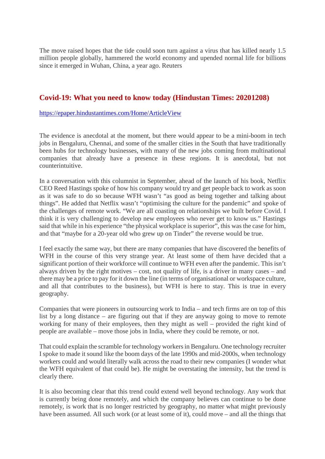The move raised hopes that the tide could soon turn against a virus that has killed nearly 1.5 million people globally, hammered the world economy and upended normal life for billions since it emerged in Wuhan, China, a year ago. Reuters

#### **Covid-19: What you need to know today (Hindustan Times: 20201208)**

https://epaper.hindustantimes.com/Home/ArticleView

The evidence is anecdotal at the moment, but there would appear to be a mini-boom in tech jobs in Bengaluru, Chennai, and some of the smaller cities in the South that have traditionally been hubs for technology businesses, with many of the new jobs coming from multinational companies that already have a presence in these regions. It is anecdotal, but not counterintuitive.

In a conversation with this columnist in September, ahead of the launch of his book, Netflix CEO Reed Hastings spoke of how his company would try and get people back to work as soon as it was safe to do so because WFH wasn't "as good as being together and talking about things". He added that Netflix wasn't "optimising the culture for the pandemic" and spoke of the challenges of remote work. "We are all coasting on relationships we built before Covid. I think it is very challenging to develop new employees who never get to know us." Hastings said that while in his experience "the physical workplace is superior", this was the case for him, and that "maybe for a 20-year old who grew up on Tinder" the reverse would be true.

I feel exactly the same way, but there are many companies that have discovered the benefits of WFH in the course of this very strange year. At least some of them have decided that a significant portion of their workforce will continue to WFH even after the pandemic. This isn't always driven by the right motives – cost, not quality of life, is a driver in many cases – and there may be a price to pay for it down the line (in terms of organisational or workspace culture, and all that contributes to the business), but WFH is here to stay. This is true in every geography.

Companies that were pioneers in outsourcing work to India – and tech firms are on top of this list by a long distance – are figuring out that if they are anyway going to move to remote working for many of their employees, then they might as well – provided the right kind of people are available – move those jobs in India, where they could be remote, or not.

That could explain the scramble for technology workers in Bengaluru. One technology recruiter I spoke to made it sound like the boom days of the late 1990s and mid-2000s, when technology workers could and would literally walk across the road to their new companies (I wonder what the WFH equivalent of that could be). He might be overstating the intensity, but the trend is clearly there.

It is also becoming clear that this trend could extend well beyond technology. Any work that is currently being done remotely, and which the company believes can continue to be done remotely, is work that is no longer restricted by geography, no matter what might previously have been assumed. All such work (or at least some of it), could move – and all the things that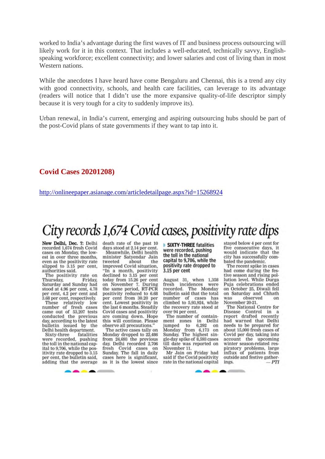worked to India's advantage during the first waves of IT and business process outsourcing will likely work for it in this context. That includes a well-educated, technically savvy, Englishspeaking workforce; excellent connectivity; and lower salaries and cost of living than in most Western nations.

While the anecdotes I have heard have come Bengaluru and Chennai, this is a trend any city with good connectivity, schools, and health care facilities, can leverage to its advantage (readers will notice that I didn't use the more expansive quality-of-life descriptor simply because it is very tough for a city to suddenly improve its).

Urban renewal, in India's current, emerging and aspiring outsourcing hubs should be part of the post-Covid plans of state governments if they want to tap into it.

#### **Covid Cases 20201208)**

http://onlineepaper.asianage.com/articledetailpage.aspx?id=15268924

## City records 1,674 Covid cases, positivity rate dips

New Delhi, Dec. 7: Delhi recorded 1,674 fresh Covid cases on Monday, the lowest in over three months, even as the positivity rate slipped to 3.15 per cent, authorities said.

The positivity rate on Thursday, Friday, Saturday and Sunday had stood at 4.96 per cent, 4.78 per cent, 4.2 per cent and 3.68 per cent, respectively.

These relatively low number of fresh cases<br>came out of 53,207 tests conducted the previous day, according to the latest bulletin issued by the Delhi health department.

Sixty-three fatalities were recorded, pushing<br>the toll in the national capital to 9,706, while the positivity rate dropped to 3.15 per cent, the bulletin said, adding that the average death rate of the past 10 days stood at 2.14 per cent. Meanwhile, Delhi health

minister Satyendar Jain about tweeted the improved Covid situation, "In a month, positivity declined to 3.15 per cent today from 15.26 per cent on November 7. During<br>the same period, RT-PCR positivity reduced to 6.68 per cent from 30.20 per cent. Lowest positivity in the last 6 months. Steadily Covid cases and positivity are coming down. Hope this will continue. Please observe all precautions."

The active cases tally on Monday dropped to 22,486 from 24,693 the previous day. Delhi recorded 2,706 fresh Covid cases on<br>Sunday. The fall in daily cases here is significant, as it is the lowest since

SIXTY-THREE fatalities were recorded, pushing the toll in the national capital to 9,706, while the positivity rate dropped to 3.15 per cent

August 31, when 1,358 fresh incidences were recorded. The Monday bulletin said that the total number of cases has<br>climbed to 5,93,924, while the recovery rate stood at over 94 per cent.

The number of containment zones in Delhi<br>jumped to 6,292 on<br>Monday from 6,173 on Sunday. The highest single-day spike of 8,593 cases till date was reported on November 11.

Mr Jain on Friday had said if the Covid positivity rate in the national capital

stayed below 4 per cent for five consecutive days, it would indicate that the city has successfully combated the pandemic.

The recent spike in cases had come during the festive season and rising pollution level. While Durga Puja celebrations ended on October 25, Diwali fell on Saturday and Chhath observed was on November 20-21.

The National Centre for Disease Control in a<br>report drafted recently had warned that Delhi needs to be prepared for about 15,000 fresh cases of Covid per day, taking into account the upcoming winter season-related respiratory problems, large<br>influx of patients from<br>outside and festive gatherings.  $-PTI$ 

**ANTIQUES IN**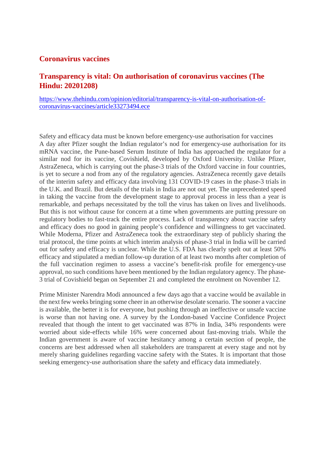#### **Coronavirus vaccines**

## **Transparency is vital: On authorisation of coronavirus vaccines (The Hindu: 20201208)**

https://www.thehindu.com/opinion/editorial/transparency-is-vital-on-authorisation-ofcoronavirus-vaccines/article33273494.ece

Safety and efficacy data must be known before emergency-use authorisation for vaccines A day after Pfizer sought the Indian regulator's nod for emergency-use authorisation for its mRNA vaccine, the Pune-based Serum Institute of India has approached the regulator for a similar nod for its vaccine, Covishield, developed by Oxford University. Unlike Pfizer, AstraZeneca, which is carrying out the phase-3 trials of the Oxford vaccine in four countries, is yet to secure a nod from any of the regulatory agencies. AstraZeneca recently gave details of the interim safety and efficacy data involving 131 COVID-19 cases in the phase-3 trials in the U.K. and Brazil. But details of the trials in India are not out yet. The unprecedented speed in taking the vaccine from the development stage to approval process in less than a year is remarkable, and perhaps necessitated by the toll the virus has taken on lives and livelihoods. But this is not without cause for concern at a time when governments are putting pressure on regulatory bodies to fast-track the entire process. Lack of transparency about vaccine safety and efficacy does no good in gaining people's confidence and willingness to get vaccinated. While Moderna, Pfizer and AstraZeneca took the extraordinary step of publicly sharing the trial protocol, the time points at which interim analysis of phase-3 trial in India will be carried out for safety and efficacy is unclear. While the U.S. FDA has clearly spelt out at least 50% efficacy and stipulated a median follow-up duration of at least two months after completion of the full vaccination regimen to assess a vaccine's benefit-risk profile for emergency-use approval, no such conditions have been mentioned by the Indian regulatory agency. The phase-3 trial of Covishield began on September 21 and completed the enrolment on November 12.

Prime Minister Narendra Modi announced a few days ago that a vaccine would be available in the next few weeks bringing some cheer in an otherwise desolate scenario. The sooner a vaccine is available, the better it is for everyone, but pushing through an ineffective or unsafe vaccine is worse than not having one. A survey by the London-based Vaccine Confidence Project revealed that though the intent to get vaccinated was 87% in India, 34% respondents were worried about side-effects while 16% were concerned about fast-moving trials. While the Indian government is aware of vaccine hesitancy among a certain section of people, the concerns are best addressed when all stakeholders are transparent at every stage and not by merely sharing guidelines regarding vaccine safety with the States. It is important that those seeking emergency-use authorisation share the safety and efficacy data immediately.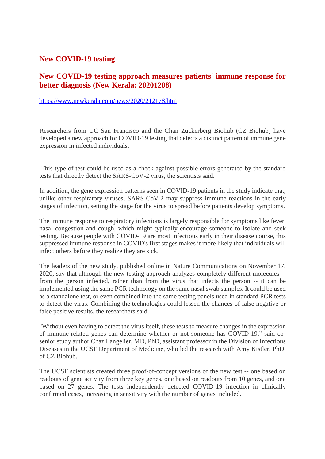#### **New COVID-19 testing**

#### **New COVID-19 testing approach measures patients' immune response for better diagnosis (New Kerala: 20201208)**

https://www.newkerala.com/news/2020/212178.htm

Researchers from UC San Francisco and the Chan Zuckerberg Biohub (CZ Biohub) have developed a new approach for COVID-19 testing that detects a distinct pattern of immune gene expression in infected individuals.

This type of test could be used as a check against possible errors generated by the standard tests that directly detect the SARS-CoV-2 virus, the scientists said.

In addition, the gene expression patterns seen in COVID-19 patients in the study indicate that, unlike other respiratory viruses, SARS-CoV-2 may suppress immune reactions in the early stages of infection, setting the stage for the virus to spread before patients develop symptoms.

The immune response to respiratory infections is largely responsible for symptoms like fever, nasal congestion and cough, which might typically encourage someone to isolate and seek testing. Because people with COVID-19 are most infectious early in their disease course, this suppressed immune response in COVID's first stages makes it more likely that individuals will infect others before they realize they are sick.

The leaders of the new study, published online in Nature Communications on November 17, 2020, say that although the new testing approach analyzes completely different molecules - from the person infected, rather than from the virus that infects the person -- it can be implemented using the same PCR technology on the same nasal swab samples. It could be used as a standalone test, or even combined into the same testing panels used in standard PCR tests to detect the virus. Combining the technologies could lessen the chances of false negative or false positive results, the researchers said.

"Without even having to detect the virus itself, these tests to measure changes in the expression of immune-related genes can determine whether or not someone has COVID-19," said cosenior study author Chaz Langelier, MD, PhD, assistant professor in the Division of Infectious Diseases in the UCSF Department of Medicine, who led the research with Amy Kistler, PhD, of CZ Biohub.

The UCSF scientists created three proof-of-concept versions of the new test -- one based on readouts of gene activity from three key genes, one based on readouts from 10 genes, and one based on 27 genes. The tests independently detected COVID-19 infection in clinically confirmed cases, increasing in sensitivity with the number of genes included.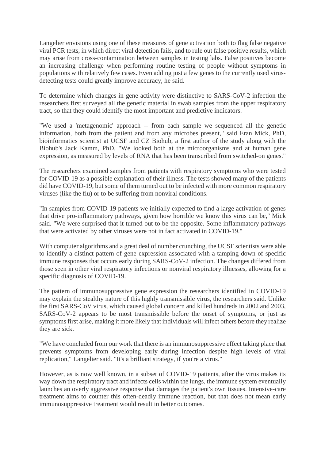Langelier envisions using one of these measures of gene activation both to flag false negative viral PCR tests, in which direct viral detection fails, and to rule out false positive results, which may arise from cross-contamination between samples in testing labs. False positives become an increasing challenge when performing routine testing of people without symptoms in populations with relatively few cases. Even adding just a few genes to the currently used virusdetecting tests could greatly improve accuracy, he said.

To determine which changes in gene activity were distinctive to SARS-CoV-2 infection the researchers first surveyed all the genetic material in swab samples from the upper respiratory tract, so that they could identify the most important and predictive indicators.

"We used a 'metagenomic' approach -- from each sample we sequenced all the genetic information, both from the patient and from any microbes present," said Eran Mick, PhD, bioinformatics scientist at UCSF and CZ Biohub, a first author of the study along with the Biohub's Jack Kamm, PhD. "We looked both at the microorganisms and at human gene expression, as measured by levels of RNA that has been transcribed from switched-on genes."

The researchers examined samples from patients with respiratory symptoms who were tested for COVID-19 as a possible explanation of their illness. The tests showed many of the patients did have COVID-19, but some of them turned out to be infected with more common respiratory viruses (like the flu) or to be suffering from nonviral conditions.

"In samples from COVID-19 patients we initially expected to find a large activation of genes that drive pro-inflammatory pathways, given how horrible we know this virus can be," Mick said. "We were surprised that it turned out to be the opposite. Some inflammatory pathways that were activated by other viruses were not in fact activated in COVID-19."

With computer algorithms and a great deal of number crunching, the UCSF scientists were able to identify a distinct pattern of gene expression associated with a tamping down of specific immune responses that occurs early during SARS-CoV-2 infection. The changes differed from those seen in other viral respiratory infections or nonviral respiratory illnesses, allowing for a specific diagnosis of COVID-19.

The pattern of immunosuppressive gene expression the researchers identified in COVID-19 may explain the stealthy nature of this highly transmissible virus, the researchers said. Unlike the first SARS-CoV virus, which caused global concern and killed hundreds in 2002 and 2003, SARS-CoV-2 appears to be most transmissible before the onset of symptoms, or just as symptoms first arise, making it more likely that individuals will infect others before they realize they are sick.

"We have concluded from our work that there is an immunosuppressive effect taking place that prevents symptoms from developing early during infection despite high levels of viral replication," Langelier said. "It's a brilliant strategy, if you're a virus."

However, as is now well known, in a subset of COVID-19 patients, after the virus makes its way down the respiratory tract and infects cells within the lungs, the immune system eventually launches an overly aggressive response that damages the patient's own tissues. Intensive-care treatment aims to counter this often-deadly immune reaction, but that does not mean early immunosuppressive treatment would result in better outcomes.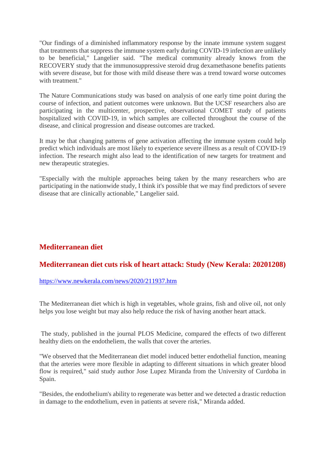"Our findings of a diminished inflammatory response by the innate immune system suggest that treatments that suppress the immune system early during COVID-19 infection are unlikely to be beneficial," Langelier said. "The medical community already knows from the RECOVERY study that the immunosuppressive steroid drug dexamethasone benefits patients with severe disease, but for those with mild disease there was a trend toward worse outcomes with treatment."

The Nature Communications study was based on analysis of one early time point during the course of infection, and patient outcomes were unknown. But the UCSF researchers also are participating in the multicenter, prospective, observational COMET study of patients hospitalized with COVID-19, in which samples are collected throughout the course of the disease, and clinical progression and disease outcomes are tracked.

It may be that changing patterns of gene activation affecting the immune system could help predict which individuals are most likely to experience severe illness as a result of COVID-19 infection. The research might also lead to the identification of new targets for treatment and new therapeutic strategies.

"Especially with the multiple approaches being taken by the many researchers who are participating in the nationwide study, I think it's possible that we may find predictors of severe disease that are clinically actionable," Langelier said.

## **Mediterranean diet**

## **Mediterranean diet cuts risk of heart attack: Study (New Kerala: 20201208)**

#### https://www.newkerala.com/news/2020/211937.htm

The Mediterranean diet which is high in vegetables, whole grains, fish and olive oil, not only helps you lose weight but may also help reduce the risk of having another heart attack.

The study, published in the journal PLOS Medicine, compared the effects of two different healthy diets on the endotheliem, the walls that cover the arteries.

"We observed that the Mediterranean diet model induced better endothelial function, meaning that the arteries were more flexible in adapting to different situations in which greater blood flow is required," said study author Jose Lupez Miranda from the University of Curdoba in Spain.

"Besides, the endothelium's ability to regenerate was better and we detected a drastic reduction in damage to the endothelium, even in patients at severe risk," Miranda added.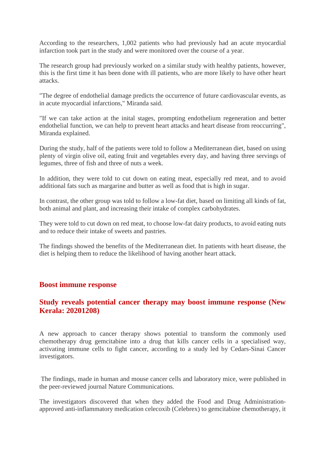According to the researchers, 1,002 patients who had previously had an acute myocardial infarction took part in the study and were monitored over the course of a year.

The research group had previously worked on a similar study with healthy patients, however, this is the first time it has been done with ill patients, who are more likely to have other heart attacks.

"The degree of endothelial damage predicts the occurrence of future cardiovascular events, as in acute myocardial infarctions," Miranda said.

"If we can take action at the inital stages, prompting endothelium regeneration and better endothelial function, we can help to prevent heart attacks and heart disease from reoccurring", Miranda explained.

During the study, half of the patients were told to follow a Mediterranean diet, based on using plenty of virgin olive oil, eating fruit and vegetables every day, and having three servings of legumes, three of fish and three of nuts a week.

In addition, they were told to cut down on eating meat, especially red meat, and to avoid additional fats such as margarine and butter as well as food that is high in sugar.

In contrast, the other group was told to follow a low-fat diet, based on limiting all kinds of fat, both animal and plant, and increasing their intake of complex carbohydrates.

They were told to cut down on red meat, to choose low-fat dairy products, to avoid eating nuts and to reduce their intake of sweets and pastries.

The findings showed the benefits of the Mediterranean diet. In patients with heart disease, the diet is helping them to reduce the likelihood of having another heart attack.

#### **Boost immune response**

#### **Study reveals potential cancer therapy may boost immune response (New Kerala: 20201208)**

A new approach to cancer therapy shows potential to transform the commonly used chemotherapy drug gemcitabine into a drug that kills cancer cells in a specialised way, activating immune cells to fight cancer, according to a study led by Cedars-Sinai Cancer investigators.

The findings, made in human and mouse cancer cells and laboratory mice, were published in the peer-reviewed journal Nature Communications.

The investigators discovered that when they added the Food and Drug Administrationapproved anti-inflammatory medication celecoxib (Celebrex) to gemcitabine chemotherapy, it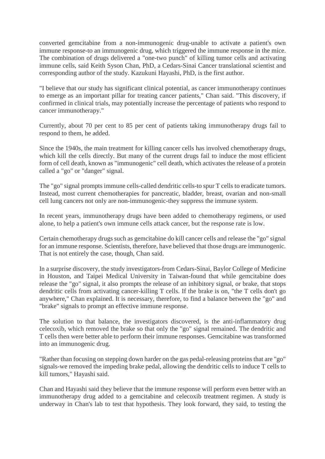converted gemcitabine from a non-immunogenic drug-unable to activate a patient's own immune response-to an immunogenic drug, which triggered the immune response in the mice. The combination of drugs delivered a "one-two punch" of killing tumor cells and activating immune cells, said Keith Syson Chan, PhD, a Cedars-Sinai Cancer translational scientist and corresponding author of the study. Kazukuni Hayashi, PhD, is the first author.

"I believe that our study has significant clinical potential, as cancer immunotherapy continues to emerge as an important pillar for treating cancer patients," Chan said. "This discovery, if confirmed in clinical trials, may potentially increase the percentage of patients who respond to cancer immunotherapy."

Currently, about 70 per cent to 85 per cent of patients taking immunotherapy drugs fail to respond to them, he added.

Since the 1940s, the main treatment for killing cancer cells has involved chemotherapy drugs, which kill the cells directly. But many of the current drugs fail to induce the most efficient form of cell death, known as "immunogenic" cell death, which activates the release of a protein called a "go" or "danger" signal.

The "go" signal prompts immune cells-called dendritic cells-to spur T cells to eradicate tumors. Instead, most current chemotherapies for pancreatic, bladder, breast, ovarian and non-small cell lung cancers not only are non-immunogenic-they suppress the immune system.

In recent years, immunotherapy drugs have been added to chemotherapy regimens, or used alone, to help a patient's own immune cells attack cancer, but the response rate is low.

Certain chemotherapy drugs such as gemcitabine do kill cancer cells and release the "go" signal for an immune response. Scientists, therefore, have believed that those drugs are immunogenic. That is not entirely the case, though, Chan said.

In a surprise discovery, the study investigators-from Cedars-Sinai, Baylor College of Medicine in Houston, and Taipei Medical University in Taiwan-found that while gemcitabine does release the "go" signal, it also prompts the release of an inhibitory signal, or brake, that stops dendritic cells from activating cancer-killing T cells. If the brake is on, "the T cells don't go anywhere," Chan explained. It is necessary, therefore, to find a balance between the "go" and "brake" signals to prompt an effective immune response.

The solution to that balance, the investigators discovered, is the anti-inflammatory drug celecoxib, which removed the brake so that only the "go" signal remained. The dendritic and T cells then were better able to perform their immune responses. Gemcitabine was transformed into an immunogenic drug.

"Rather than focusing on stepping down harder on the gas pedal-releasing proteins that are "go" signals-we removed the impeding brake pedal, allowing the dendritic cells to induce T cells to kill tumors," Hayashi said.

Chan and Hayashi said they believe that the immune response will perform even better with an immunotherapy drug added to a gemcitabine and celecoxib treatment regimen. A study is underway in Chan's lab to test that hypothesis. They look forward, they said, to testing the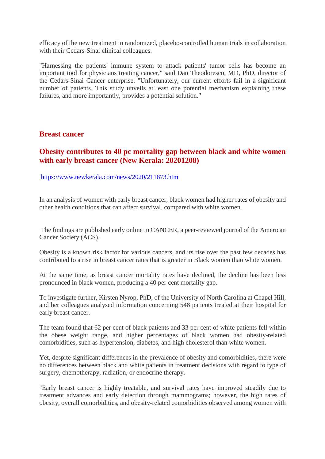efficacy of the new treatment in randomized, placebo-controlled human trials in collaboration with their Cedars-Sinai clinical colleagues.

"Harnessing the patients' immune system to attack patients' tumor cells has become an important tool for physicians treating cancer," said Dan Theodorescu, MD, PhD, director of the Cedars-Sinai Cancer enterprise. "Unfortunately, our current efforts fail in a significant number of patients. This study unveils at least one potential mechanism explaining these failures, and more importantly, provides a potential solution."

#### **Breast cancer**

## **Obesity contributes to 40 pc mortality gap between black and white women with early breast cancer (New Kerala: 20201208)**

#### https://www.newkerala.com/news/2020/211873.htm

In an analysis of women with early breast cancer, black women had higher rates of obesity and other health conditions that can affect survival, compared with white women.

The findings are published early online in CANCER, a peer-reviewed journal of the American Cancer Society (ACS).

Obesity is a known risk factor for various cancers, and its rise over the past few decades has contributed to a rise in breast cancer rates that is greater in Black women than white women.

At the same time, as breast cancer mortality rates have declined, the decline has been less pronounced in black women, producing a 40 per cent mortality gap.

To investigate further, Kirsten Nyrop, PhD, of the University of North Carolina at Chapel Hill, and her colleagues analysed information concerning 548 patients treated at their hospital for early breast cancer.

The team found that 62 per cent of black patients and 33 per cent of white patients fell within the obese weight range, and higher percentages of black women had obesity-related comorbidities, such as hypertension, diabetes, and high cholesterol than white women.

Yet, despite significant differences in the prevalence of obesity and comorbidities, there were no differences between black and white patients in treatment decisions with regard to type of surgery, chemotherapy, radiation, or endocrine therapy.

"Early breast cancer is highly treatable, and survival rates have improved steadily due to treatment advances and early detection through mammograms; however, the high rates of obesity, overall comorbidities, and obesity-related comorbidities observed among women with